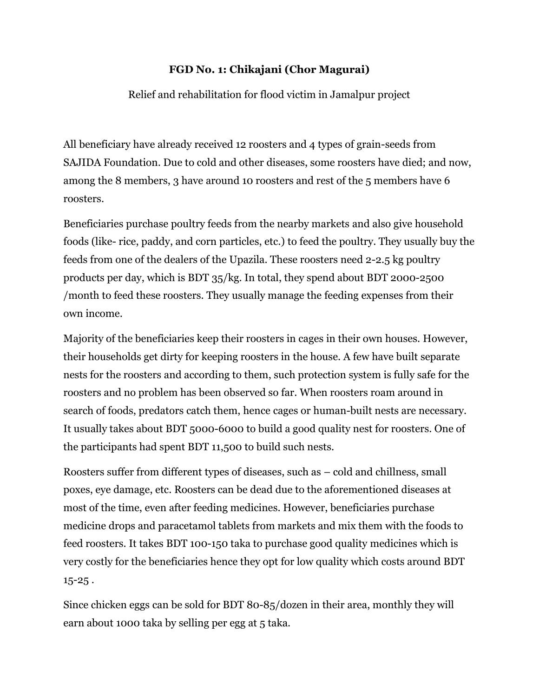## **FGD No. 1: Chikajani (Chor Magurai)**

Relief and rehabilitation for flood victim in Jamalpur project

All beneficiary have already received 12 roosters and 4 types of grain-seeds from SAJIDA Foundation. Due to cold and other diseases, some roosters have died; and now, among the 8 members, 3 have around 10 roosters and rest of the 5 members have 6 roosters.

Beneficiaries purchase poultry feeds from the nearby markets and also give household foods (like- rice, paddy, and corn particles, etc.) to feed the poultry. They usually buy the feeds from one of the dealers of the Upazila. These roosters need 2-2.5 kg poultry products per day, which is BDT 35/kg. In total, they spend about BDT 2000-2500 /month to feed these roosters. They usually manage the feeding expenses from their own income.

Majority of the beneficiaries keep their roosters in cages in their own houses. However, their households get dirty for keeping roosters in the house. A few have built separate nests for the roosters and according to them, such protection system is fully safe for the roosters and no problem has been observed so far. When roosters roam around in search of foods, predators catch them, hence cages or human-built nests are necessary. It usually takes about BDT 5000-6000 to build a good quality nest for roosters. One of the participants had spent BDT 11,500 to build such nests.

Roosters suffer from different types of diseases, such as – cold and chillness, small poxes, eye damage, etc. Roosters can be dead due to the aforementioned diseases at most of the time, even after feeding medicines. However, beneficiaries purchase medicine drops and paracetamol tablets from markets and mix them with the foods to feed roosters. It takes BDT 100-150 taka to purchase good quality medicines which is very costly for the beneficiaries hence they opt for low quality which costs around BDT  $15 - 25$ .

Since chicken eggs can be sold for BDT 80-85/dozen in their area, monthly they will earn about 1000 taka by selling per egg at 5 taka.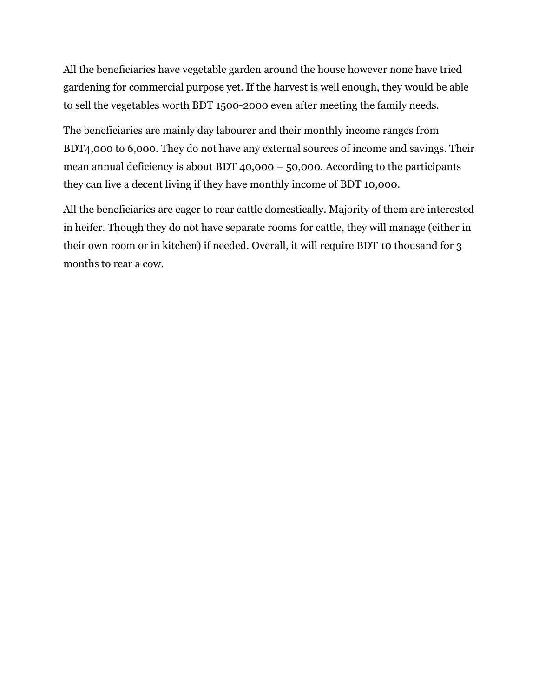All the beneficiaries have vegetable garden around the house however none have tried gardening for commercial purpose yet. If the harvest is well enough, they would be able to sell the vegetables worth BDT 1500-2000 even after meeting the family needs.

The beneficiaries are mainly day labourer and their monthly income ranges from BDT4,000 to 6,000. They do not have any external sources of income and savings. Their mean annual deficiency is about BDT 40,000 – 50,000. According to the participants they can live a decent living if they have monthly income of BDT 10,000.

All the beneficiaries are eager to rear cattle domestically. Majority of them are interested in heifer. Though they do not have separate rooms for cattle, they will manage (either in their own room or in kitchen) if needed. Overall, it will require BDT 10 thousand for 3 months to rear a cow.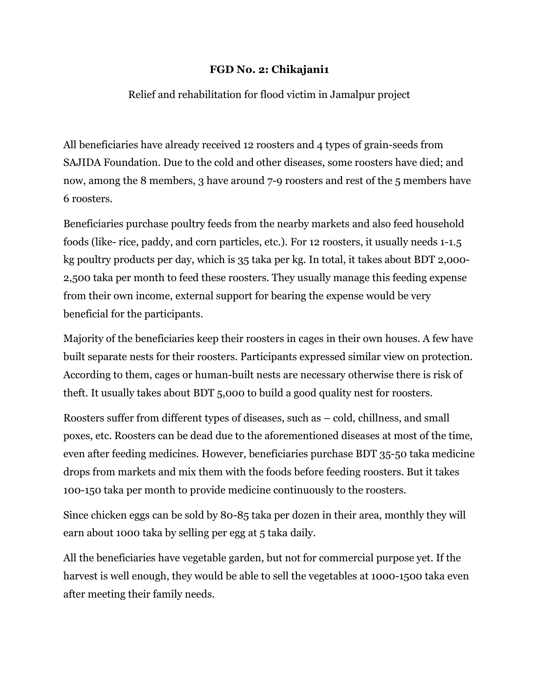## **FGD No. 2: Chikajani1**

## Relief and rehabilitation for flood victim in Jamalpur project

All beneficiaries have already received 12 roosters and 4 types of grain-seeds from SAJIDA Foundation. Due to the cold and other diseases, some roosters have died; and now, among the 8 members, 3 have around 7-9 roosters and rest of the 5 members have 6 roosters.

Beneficiaries purchase poultry feeds from the nearby markets and also feed household foods (like- rice, paddy, and corn particles, etc.). For 12 roosters, it usually needs 1-1.5 kg poultry products per day, which is 35 taka per kg. In total, it takes about BDT 2,000- 2,500 taka per month to feed these roosters. They usually manage this feeding expense from their own income, external support for bearing the expense would be very beneficial for the participants.

Majority of the beneficiaries keep their roosters in cages in their own houses. A few have built separate nests for their roosters. Participants expressed similar view on protection. According to them, cages or human-built nests are necessary otherwise there is risk of theft. It usually takes about BDT 5,000 to build a good quality nest for roosters.

Roosters suffer from different types of diseases, such as – cold, chillness, and small poxes, etc. Roosters can be dead due to the aforementioned diseases at most of the time, even after feeding medicines. However, beneficiaries purchase BDT 35-50 taka medicine drops from markets and mix them with the foods before feeding roosters. But it takes 100-150 taka per month to provide medicine continuously to the roosters.

Since chicken eggs can be sold by 80-85 taka per dozen in their area, monthly they will earn about 1000 taka by selling per egg at 5 taka daily.

All the beneficiaries have vegetable garden, but not for commercial purpose yet. If the harvest is well enough, they would be able to sell the vegetables at 1000-1500 taka even after meeting their family needs.